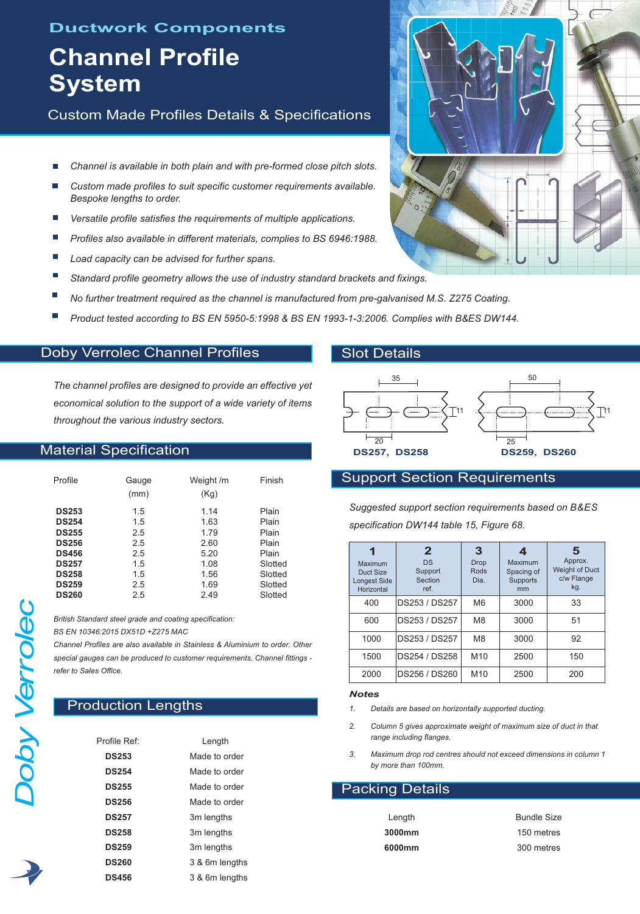# **Ductwork Components**

# **Channel Profile System**

Custom Made Profiles Details & Specifications

- *Channel is available in both plain and with pre-formed close pitch slots.*
- *Custom made profiles to suit specific customer requirements available. Bespoke lengths to order.*
- *Versatile profile satisfies the requirements of multiple applications.*
- *Profiles also available in different materials, complies to BS 6946:1988.*
- *Load capacity can be advised for further spans.*
- *Standard profile geometry allows the use of industry standard brackets and fixings.*
- *No further treatment required as the channel is manufactured from pre-galvanised M.S. Z275 Coating.*
- F *Product tested according to BS EN 5950-5:1998 & BS EN 1993-1-3:2006. Complies with B&ES DW144.*

# Doby Verrolec Channel Profiles

*The channel profiles are designed to provide an effective yet economical solution to the support of a wide variety of items throughout the various industry sectors.*

## Material Specification

| Profile      | Gauge<br>(mm) | Weight /m<br>(Kg) | Finish  |  |  |
|--------------|---------------|-------------------|---------|--|--|
| <b>DS253</b> | 1.5           | 1.14              | Plain   |  |  |
| <b>DS254</b> | 1.5           | 1.63              | Plain   |  |  |
| <b>DS255</b> | 2.5           | 1.79              | Plain   |  |  |
| <b>DS256</b> | 2.5           | 2.60              | Plain   |  |  |
| <b>DS456</b> | 2.5           | 5.20              | Plain   |  |  |
| <b>DS257</b> | 1.5           | 1.08              | Slotted |  |  |
| <b>DS258</b> | 1.5           | 1.56              | Slotted |  |  |
| <b>DS259</b> | 2.5           | 1.69              | Slotted |  |  |
| <b>DS260</b> | 2.5           | 2.49              | Slotted |  |  |

*British Standard steel grade and coating specification: BS EN 10346:2015 DX51D +Z275 MAC*

*Channel Profiles are also available in Stainless & Aluminium to order. Other special gauges can be produced to customer requirements. Channel fittings refer to Sales Office.*

# **Production Lengths**

| Profile Ref <sup>.</sup> | Length         |  |  |
|--------------------------|----------------|--|--|
| <b>DS253</b>             | Made to order  |  |  |
| <b>DS254</b>             | Made to order  |  |  |
| <b>DS255</b>             | Made to order  |  |  |
| <b>DS256</b>             | Made to order  |  |  |
| <b>DS257</b>             | 3m lengths     |  |  |
| <b>DS258</b>             | 3m lengths     |  |  |
| <b>DS259</b>             | 3m lengths     |  |  |
| <b>DS260</b>             | 3 & 6m lengths |  |  |
| <b>DS456</b>             | 3 & 6m lengths |  |  |

## Slot Details



## Support Section Requirements

*Suggested support section requirements based on B&ES specification DW144 table 15, Figure 68.*

| Maximum<br>Duct Size<br><b>Longest Side</b><br>Horizontal | $\mathbf{2}$<br><b>DS</b><br>Support<br>Section<br>ref. | З<br><b>Drop</b><br>Rods<br>Dia. | 4<br>Maximum<br>Spacing of<br><b>Supports</b><br>mm | 5<br>Approx.<br><b>Weight of Duct</b><br>c/w Flange<br>kg. |
|-----------------------------------------------------------|---------------------------------------------------------|----------------------------------|-----------------------------------------------------|------------------------------------------------------------|
| 400                                                       | DS253 / DS257                                           | M <sub>6</sub>                   | 3000                                                | 33                                                         |
| 600                                                       | DS253 / DS257                                           | M <sub>8</sub>                   | 3000                                                | 51                                                         |
| 1000                                                      | DS253 / DS257                                           | M <sub>8</sub>                   | 3000                                                | 92                                                         |
| 1500                                                      | DS254 / DS258                                           | M <sub>10</sub>                  | 2500                                                | 150                                                        |
| 2000                                                      | DS256 / DS260                                           | M <sub>10</sub>                  | 2500                                                | 200                                                        |

#### *Notes*

- *1. Details are based on horizontally supported ducting.*
- *2. Column 5 gives approximate weight of maximum size of duct in that range including flanges.*
- *3. Maximum drop rod centres should not exceed dimensions in column 1 by more than 100mm.*

## Packing Details

| Length | <b>Bundle Size</b> |
|--------|--------------------|
| 3000mm | 150 metres         |
| 6000mm | 300 metres         |